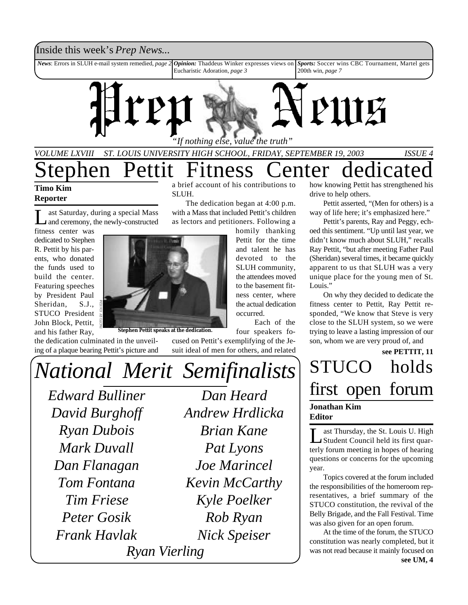### Inside this week's *Prep News*...

*News*: Errors in SLUH e-mail system remedied, *page 2 Opinion:* Thaddeus Winker expresses views on Eucharistic Adoration, *page 3 Sports:* Soccer wins CBC Tournament, Martel gets 200th win, *page 7*



## *VOLUME LXVIII ST. LOUIS UNIVERSITY HIGH SCHOOL, FRIDAY, SEPTEMBER 19, 2003 ISSUE 4* tephen Pettit Fitness Center dedicate a brief account of his contributions to

The dedication began at 4:00 p.m. with a Mass that included Pettit's children as lectors and petitioners. Following a

> homily thanking Pettit for the time and talent he has devoted to the

> > Each of the

### **Timo Kim Reporter**

 $\prod_{x}$ ast Saturday, during a special Mass and ceremony, the newly-constructed

fitness center was dedicated to Stephen R. Pettit by his parents, who donated the funds used to build the center. Featuring speeches by President Paul Sheridan, S.J., STUCO President John Block, Pettit, and his father Ray,

the dedication culminated in the unveiling of a plaque bearing Pettit's picture and



SLUH.

**Stephen Pettit speaks at the dedication.**

how knowing Pettit has strengthened his drive to help others.

Pettit asserted, "(Men for others) is a way of life here; it's emphasized here."

Pettit's parents, Ray and Peggy, echoed this sentiment. "Up until last year, we didn't know much about SLUH," recalls Ray Pettit, "but after meeting Father Paul (Sheridan) several times, it became quickly apparent to us that SLUH was a very unique place for the young men of St. Louis."

On why they decided to dedicate the fitness center to Pettit, Ray Pettit responded, "We know that Steve is very close to the SLUH system, so we were trying to leave a lasting impression of our son, whom we are very proud of, and

## STUCO holds first open forum **see PETTIT, 11 Jonathan Kim Editor**

Let Thursday, the St. Louis U. High ast Thursday, the St. Louis U. High terly forum meeting in hopes of hearing questions or concerns for the upcoming year.

Topics covered at the forum included the responsibilities of the homeroom representatives, a brief summary of the STUCO constitution, the revival of the Belly Brigade, and the Fall Festival. Time was also given for an open forum.

At the time of the forum, the STUCO constitution was nearly completed, but it was not read because it mainly focused on **see UM, 4**

*Edward Bulliner Dan Heard National Merit Semifinalists*

*David Burghoff Ryan Dubois Mark Duvall Dan Flanagan Tom Fontana Tim Friese Peter Gosik Frank Havlak Ryan Vierling*

*Andrew Hrdlicka Brian Kane Pat Lyons Joe Marincel Kevin McCarthy Kyle Poelker Rob Ryan Nick Speiser*

SLUH community, the attendees moved to the basement fitness center, where the actual dedication occurred.

four speakers focused on Pettit's exemplifying of the Jesuit ideal of men for others, and related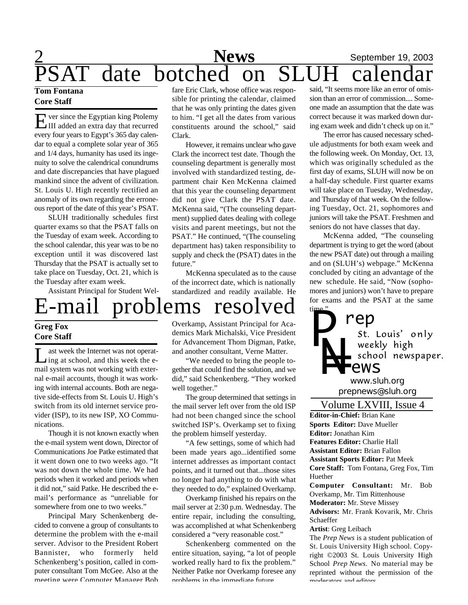# $\frac{2}{2}$  September 19, 2003 News September 19,<br>date botched on SLUH calend

### **Tom Fontana Core Staff**

E ver since the Egyptian king Ptolemy<br>III added an extra day that recurred  $\overline{\mathbf{r}}$  ver since the Egyptian king Ptolemy every four years to Egypt's 365 day calendar to equal a complete solar year of 365 and 1/4 days, humanity has used its ingenuity to solve the calendrical conundrums and date discrepancies that have plagued mankind since the advent of civilization. St. Louis U. High recently rectified an anomaly of its own regarding the erroneous report of the date of this year's PSAT.

SLUH traditionally schedules first quarter exams so that the PSAT falls on the Tuesday of exam week. According to the school calendar, this year was to be no exception until it was discovered last Thursday that the PSAT is actually set to take place on Tuesday, Oct. 21, which is the Tuesday after exam week.

Assistant Principal for Student Wel-

### fare Eric Clark, whose office was responsible for printing the calendar, claimed that he was only printing the dates given to him. "I get all the dates from various constituents around the school," said Clark.

However, it remains unclear who gave Clark the incorrect test date. Though the counseling department is generally most involved with standardized testing, department chair Ken McKenna claimed that this year the counseling department did not give Clark the PSAT date. McKenna said, "(The counseling department) supplied dates dealing with college visits and parent meetings, but not the PSAT." He continued, "(The counseling department has) taken responsibility to supply and check the (PSAT) dates in the future."

McKenna speculated as to the cause of the incorrect date, which is nationally standardized and readily available. He

# E-mail problems resolved

### **Greg Fox Core Staff**

L ast week the Internet was not operat-<br>ling at school, and this week the east week the Internet was not operatmail system was not working with external e-mail accounts, though it was working with internal accounts. Both are negative side-effects from St. Louis U. High's switch from its old internet service provider (ISP), to its new ISP, XO Communications.

Though it is not known exactly when the e-mail system went down, Director of Communications Joe Patke estimated that it went down one to two weeks ago. "It was not down the whole time. We had periods when it worked and periods when it did not," said Patke. He described the email's performance as "unreliable for somewhere from one to two weeks."

Principal Mary Schenkenberg decided to convene a group of consultants to determine the problem with the e-mail server. Advisor to the President Robert Bannister, who formerly held Schenkenberg's position, called in computer consultant Tom McGee. Also at the meeting were Computer Manager Bob

Overkamp, Assistant Principal for Academics Mark Michalski, Vice President for Advancement Thom Digman, Patke, and another consultant, Verne Matter.

"We needed to bring the people together that could find the solution, and we did," said Schenkenberg. "They worked well together."

The group determined that settings in the mail server left over from the old ISP had not been changed since the school switched ISP's. Overkamp set to fixing the problem himself yesterday.

"A few settings, some of which had been made years ago...identified some internet addresses as important contact points, and it turned out that...those sites no longer had anything to do with what they needed to do," explained Overkamp.

Overkamp finished his repairs on the mail server at 2:30 p.m. Wednesday. The entire repair, including the consulting, was accomplished at what Schenkenberg considered a "very reasonable cost."

Schenkenberg commented on the entire situation, saying, "a lot of people worked really hard to fix the problem." Neither Patke nor Overkamp foresee any problems in the immediate future.

said, "It seems more like an error of omission than an error of commission.... Someone made an assumption that the date was correct because it was marked down during exam week and didn't check up on it."

The error has caused necessary schedule adjustments for both exam week and the following week. On Monday, Oct. 13, which was originally scheduled as the first day of exams, SLUH will now be on a half-day schedule. First quarter exams will take place on Tuesday, Wednesday, and Thursday of that week. On the following Tuesday, Oct. 21, sophomores and juniors will take the PSAT. Freshmen and seniors do not have classes that day.

McKenna added, "The counseling department is trying to get the word (about the new PSAT date) out through a mailing and on (SLUH's) webpage." McKenna concluded by citing an advantage of the new schedule. He said, "Now (sophomores and juniors) won't have to prepare for exams and the PSAT at the same



*prepnews@sluh.org*

### Volume LXVIII, Issue 4

**Editor-in-Chief:** Brian Kane **Sports Editor:** Dave Mueller **Editor:** Jonathan Kim **Features Editor:** Charlie Hall **Assistant Editor:** Brian Fallon **Assistant Sports Editor:** Pat Meek **Core Staff:** Tom Fontana, Greg Fox, Tim Huether **Computer Consultant:** Mr. Bob

Overkamp, Mr. Tim Rittenhouse

**Moderator:** Mr. Steve Missey

**Advisors:** Mr. Frank Kovarik, Mr. Chris Schaeffer

#### **Artist**: Greg Leibach

The *Prep News* is a student publication of St. Louis University High school. Copyright ©2003 St. Louis University High School *Prep News.* No material may be reprinted without the permission of the moderators and editors.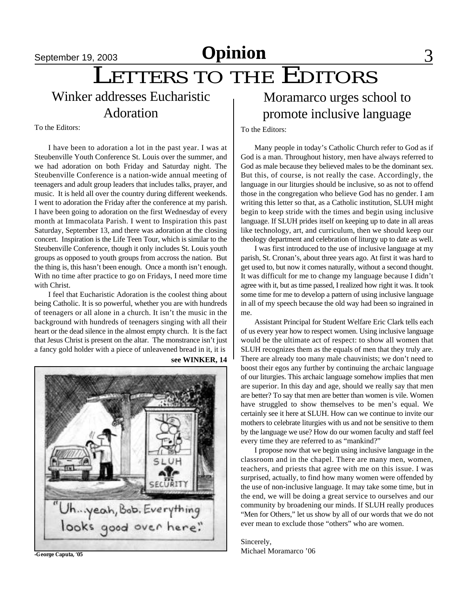# **September 19, 2003 Opinion** 3

# LETTERS TO THE EDITORS

Winker addresses Eucharistic Adoration

To the Editors:

I have been to adoration a lot in the past year. I was at Steubenville Youth Conference St. Louis over the summer, and we had adoration on both Friday and Saturday night. The Steubenville Conference is a nation-wide annual meeting of teenagers and adult group leaders that includes talks, prayer, and music. It is held all over the country during different weekends. I went to adoration the Friday after the conference at my parish. I have been going to adoration on the first Wednesday of every month at Immacolata Parish. I went to Inspiration this past Saturday, September 13, and there was adoration at the closing concert. Inspiration is the Life Teen Tour, which is similar to the Steubenville Conference, though it only includes St. Louis youth groups as opposed to youth groups from accross the nation. But the thing is, this hasn't been enough. Once a month isn't enough. With no time after practice to go on Fridays, I need more time with Christ.

I feel that Eucharistic Adoration is the coolest thing about being Catholic. It is so powerful, whether you are with hundreds of teenagers or all alone in a church. It isn't the music in the background with hundreds of teenagers singing with all their heart or the dead silence in the almost empty church. It is the fact that Jesus Christ is present on the altar. The monstrance isn't just a fancy gold holder with a piece of unleavened bread in it, it is





**-George Caputa, '05**

## Moramarco urges school to promote inclusive language

To the Editors:

Many people in today's Catholic Church refer to God as if God is a man. Throughout history, men have always referred to God as male because they believed males to be the dominant sex. But this, of course, is not really the case. Accordingly, the language in our liturgies should be inclusive, so as not to offend those in the congregation who believe God has no gender. I am writing this letter so that, as a Catholic institution, SLUH might begin to keep stride with the times and begin using inclusive language. If SLUH prides itself on keeping up to date in all areas like technology, art, and curriculum, then we should keep our theology department and celebration of liturgy up to date as well.

I was first introduced to the use of inclusive language at my parish, St. Cronan's, about three years ago. At first it was hard to get used to, but now it comes naturally, without a second thought. It was difficult for me to change my language because I didn't agree with it, but as time passed, I realized how right it was. It took some time for me to develop a pattern of using inclusive language in all of my speech because the old way had been so ingrained in me.

Assistant Principal for Student Welfare Eric Clark tells each of us every year how to respect women. Using inclusive language would be the ultimate act of respect: to show all women that SLUH recognizes them as the equals of men that they truly are. There are already too many male chauvinists; we don't need to boost their egos any further by continuing the archaic language of our liturgies. This archaic language somehow implies that men are superior. In this day and age, should we really say that men are better? To say that men are better than women is vile. Women have struggled to show themselves to be men's equal. We certainly see it here at SLUH. How can we continue to invite our mothers to celebrate liturgies with us and not be sensitive to them by the language we use? How do our women faculty and staff feel every time they are referred to as "mankind?"

I propose now that we begin using inclusive language in the classroom and in the chapel. There are many men, women, teachers, and priests that agree with me on this issue. I was surprised, actually, to find how many women were offended by the use of non-inclusive language. It may take some time, but in the end, we will be doing a great service to ourselves and our community by broadening our minds. If SLUH really produces "Men for Others," let us show by all of our words that we do not ever mean to exclude those "others" who are women.

Sincerely, Michael Moramarco '06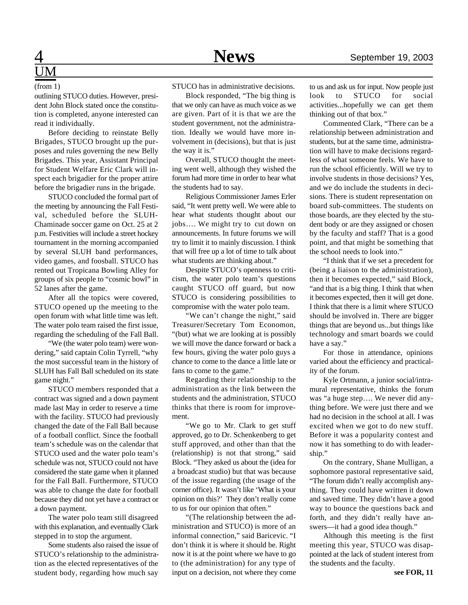# UM

(from 1)

outlining STUCO duties. However, president John Block stated once the constitution is completed, anyone interested can read it individually.

Before deciding to reinstate Belly Brigades, STUCO brought up the purposes and rules governing the new Belly Brigades. This year, Assistant Principal for Student Welfare Eric Clark will inspect each brigadier for the proper attire before the brigadier runs in the brigade.

STUCO concluded the formal part of the meeting by announcing the Fall Festival, scheduled before the SLUH-Chaminade soccer game on Oct. 25 at 2 p.m. Festivities will include a street hockey tournament in the morning accompanied by several SLUH band performances, video games, and foosball. STUCO has rented out Tropicana Bowling Alley for groups of six people to "cosmic bowl" in 52 lanes after the game.

After all the topics were covered, STUCO opened up the meeting to the open forum with what little time was left. The water polo team raised the first issue, regarding the scheduling of the Fall Ball.

"We (the water polo team) were wondering," said captain Colin Tyrrell, "why the most successful team in the history of SLUH has Fall Ball scheduled on its state game night."

STUCO members responded that a contract was signed and a down payment made last May in order to reserve a time with the facility. STUCO had previously changed the date of the Fall Ball because of a football conflict. Since the football team's schedule was on the calendar that STUCO used and the water polo team's schedule was not, STUCO could not have considered the state game when it planned for the Fall Ball. Furthermore, STUCO was able to change the date for football because they did not yet have a contract or a down payment.

The water polo team still disagreed with this explanation, and eventually Clark stepped in to stop the argument.

Some students also raised the issue of STUCO's relationship to the administration as the elected representatives of the student body, regarding how much say

STUCO has in administrative decisions.

Block responded, "The big thing is that we only can have as much voice as we are given. Part of it is that we are the student government, not the administration. Ideally we would have more involvement in (decisions), but that is just the way it is."

Overall, STUCO thought the meeting went well, although they wished the forum had more time in order to hear what the students had to say.

Religious Commissioner James Erler said, "It went pretty well. We were able to hear what students thought about our jobs…. We might try to cut down on announcements. In future forums we will try to limit it to mainly discussion. I think that will free up a lot of time to talk about what students are thinking about."

Despite STUCO's openness to criticism, the water polo team's questions caught STUCO off guard, but now STUCO is considering possibilities to compromise with the water polo team.

"We can't change the night," said Treasurer/Secretary Tom Economon, "(but) what we are looking at is possibly we will move the dance forward or back a few hours, giving the water polo guys a chance to come to the dance a little late or fans to come to the game."

Regarding their relationship to the administration as the link between the students and the administration, STUCO thinks that there is room for improvement.

"We go to Mr. Clark to get stuff approved, go to Dr. Schenkenberg to get stuff approved, and other than that the (relationship) is not that strong," said Block. "They asked us about the (idea for a broadcast studio) but that was because of the issue regarding (the usage of the corner office). It wasn't like 'What is your opinion on this?' They don't really come to us for our opinion that often."

"(The relationship between the administration and STUCO) is more of an informal connection," said Baricevic. "I don't think it is where it should be. Right now it is at the point where we have to go to (the administration) for any type of input on a decision, not where they come

to us and ask us for input. Now people just look to STUCO for social activities...hopefully we can get them thinking out of that box."

Commented Clark, "There can be a relationship between administration and students, but at the same time, administration will have to make decisions regardless of what someone feels. We have to run the school efficiently. Will we try to involve students in those decisions? Yes, and we do include the students in decisions. There is student representation on board sub-committees. The students on those boards, are they elected by the student body or are they assigned or chosen by the faculty and staff? That is a good point, and that might be something that the school needs to look into."

"I think that if we set a precedent for (being a liaison to the administration), then it becomes expected," said Block, "and that is a big thing. I think that when it becomes expected, then it will get done. I think that there is a limit where STUCO should be involved in. There are bigger things that are beyond us...but things like technology and smart boards we could have a say."

For those in attendance, opinions varied about the efficiency and practicality of the forum.

Kyle Ortmann, a junior social/intramural representative, thinks the forum was "a huge step…. We never did anything before. We were just there and we had no decision in the school at all. I was excited when we got to do new stuff. Before it was a popularity contest and now it has something to do with leadership."

On the contrary, Shane Mulligan, a sophomore pastoral representative said, "The forum didn't really accomplish anything. They could have written it down and saved time. They didn't have a good way to bounce the questions back and forth, and they didn't really have answers—it had a good idea though."

Although this meeting is the first meeting this year, STUCO was disappointed at the lack of student interest from the students and the faculty.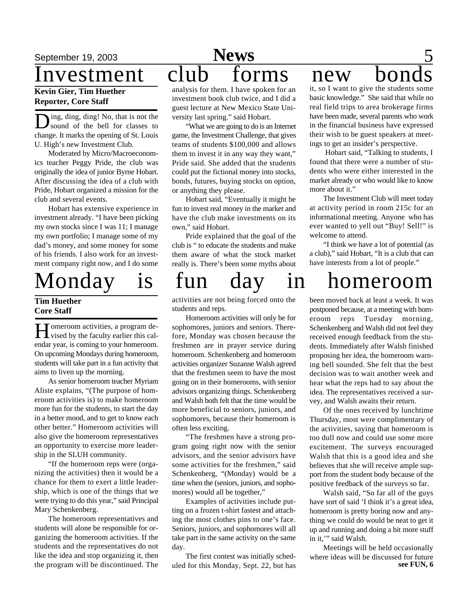### **Kevin Gier, Tim Huether Reporter, Core Staff**

D ing, ding, ding! No, that is not the sound of the bell for classes to change. It marks the opening of St. Louis U. High's new Investment Club.

Moderated by Micro/Macroeconomics teacher Peggy Pride, the club was originally the idea of junior Byrne Hobart. After discussing the idea of a club with Pride, Hobart organized a mission for the club and several events.

Hobart has extensive experience in investment already. "I have been picking my own stocks since I was 11; I manage my own portfolio; I manage some of my dad's money, and some money for some of his friends. I also work for an investment company right now, and I do some

### **Tim Huether Core Staff**

H vised by the faculty earlier this cal-**T** omeroom activities, a program deendar year, is coming to your homeroom. On upcoming Mondays during homeroom, students will take part in a fun activity that aims to liven up the morning.

As senior homeroom teacher Myriam Aliste explains, "(The purpose of homeroom activities is) to make homeroom more fun for the students, to start the day in a better mood, and to get to know each other better." Homeroom activities will also give the homeroom representatives an opportunity to exercise more leadership in the SLUH community.

"If the homeroom reps were (organizing the activities) then it would be a chance for them to exert a little leadership, which is one of the things that we were trying to do this year," said Principal Mary Schenkenberg.

The homeroom representatives and students will alone be responsible for organizing the homeroom activities. If the students and the representatives do not like the idea and stop organizing it, then the program will be discontinued. The

## September 19, 2003 **News** 5 **Sports News**Investment club forms new bon

analysis for them. I have spoken for an investment book club twice, and I did a guest lecture at New Mexico State University last spring." said Hobart.

"What we are going to do is an Internet game, the Investment Challenge, that gives teams of students \$100,000 and allows them to invest it in any way they want," Pride said. She added that the students could put the fictional money into stocks, bonds, futures, buying stocks on option, or anything they please.

Hobart said, "Eventually it might be fun to invest real money in the market and have the club make investments on its own," said Hobart.

Pride explained that the goal of the club is " to educate the students and make them aware of what the stock market really is. There's been some myths about

activities are not being forced onto the students and reps.

Homeroom activities will only be for sophomores, juniors and seniors. Therefore, Monday was chosen because the freshmen are in prayer service during homeroom. Schenkenberg and homeroom activities organizer Suzanne Walsh agreed that the freshmen seem to have the most going on in their homerooms, with senior advisors organizing things. Schenkenberg and Walsh both felt that the time would be more beneficial to seniors, juniors, and sophomores, because their homeroom is often less exciting.

"The freshmen have a strong program going right now with the senior advisors, and the senior advisors have some activities for the freshmen," said Schenkenberg, "(Monday) would be a time when the (seniors, juniors, and sophomores) would all be together,"

Examples of activities include putting on a frozen t-shirt fastest and attaching the most clothes pins to one's face. Seniors, juniors, and sophomores will all take part in the same activity on the same day.

The first contest was initially scheduled for this Monday, Sept. 22, but has

it, so I want to give the students some basic knowledge." She said that while no real field trips to area brokerage firms have been made, several parents who work in the financial business have expressed their wish to be guest speakers at meetings to get an insider's perspective.

 Hobart said, "Talking to students, I found that there were a number of students who were either interested in the market already or who would like to know more about it."

The Investment Club will meet today at activity period in room 215c for an informational meeting. Anyone who has ever wanted to yell out "Buy! Sell!" is welcome to attend.

"I think we have a lot of potential (as a club)," said Hobart, "It is a club that can have interests from a lot of people."

# Monday is fun day in homeroom

been moved back at least a week. It was postponed because, at a meeting with homeroom reps Tuesday morning, Schenkenberg and Walsh did not feel they received enough feedback from the students. Immediately after Walsh finished proposing her idea, the homeroom warning bell sounded. She felt that the best decision was to wait another week and hear what the reps had to say about the idea. The representatives received a survey, and Walsh awaits their return.

Of the ones received by lunchtime Thursday, most were complimentary of the activities, saying that homeroom is too dull now and could use some more excitement. The surveys encouraged Walsh that this is a good idea and she believes that she will receive ample support from the student body because of the positive feedback of the surveys so far.

Walsh said, "So far all of the guys have sort of said 'I think it's a great idea, homeroom is pretty boring now and anything we could do would be neat to get it up and running and doing a bit more stuff in it,'" said Walsh.

Meetings will be held occasionally where ideas will be discussed for future **see FUN, 6**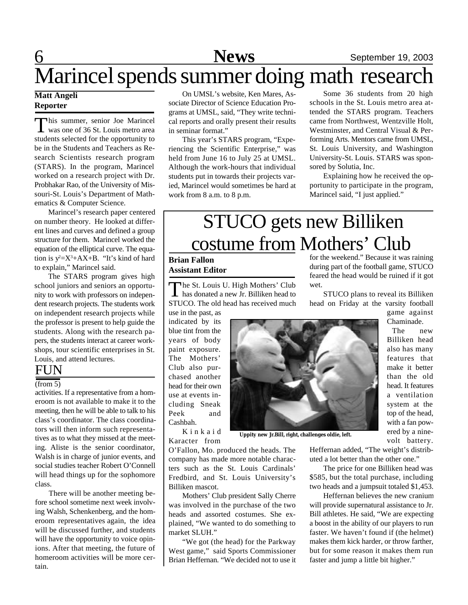# 6 **News** September 19, 2003 Marincel spends summer doing math research

### **Matt Angeli Reporter**

This summer, senior Joe Marincel<br>was one of 36 St. Louis metro area his summer, senior Joe Marincel students selected for the opportunity to be in the Students and Teachers as Research Scientists research program (STARS). In the program, Marincel worked on a research project with Dr. Probhakar Rao, of the University of Missouri-St. Louis's Department of Mathematics & Computer Science.

Marincel's research paper centered on number theory. He looked at different lines and curves and defined a group structure for them. Marincel worked the equation of the elliptical curve. The equation is  $y^2 = X^3 + AX + B$ . "It's kind of hard to explain," Marincel said.

The STARS program gives high school juniors and seniors an opportunity to work with professors on independent research projects. The students work on independent research projects while the professor is present to help guide the students. Along with the research papers, the students interact at career workshops, tour scientific enterprises in St. Louis, and attend lectures.

### **FUN**

### (from 5)

activities. If a representative from a homeroom is not available to make it to the meeting, then he will be able to talk to his class's coordinator. The class coordinators will then inform such representatives as to what they missed at the meeting. Aliste is the senior coordinator, Walsh is in charge of junior events, and social studies teacher Robert O'Connell will head things up for the sophomore class.

There will be another meeting before school sometime next week involving Walsh, Schenkenberg, and the homeroom representatives again, the idea will be discussed further, and students will have the opportunity to voice opinions. After that meeting, the future of homeroom activities will be more certain.

On UMSL's website, Ken Mares, Associate Director of Science Education Programs at UMSL, said, "They write technical reports and orally present their results in seminar format."

This year's STARS program, "Experiencing the Scientific Enterprise," was held from June 16 to July 25 at UMSL. Although the work-hours that individual students put in towards their projects varied, Marincel would sometimes be hard at work from 8 a.m. to 8 p.m.

Some 36 students from 20 high schools in the St. Louis metro area attended the STARS program. Teachers came from Northwest, Wentzville Holt, Westminster, and Central Visual & Performing Arts. Mentors came from UMSL, St. Louis University, and Washington University-St. Louis. STARS was sponsored by Solutia, Inc.

Explaining how he received the opportunity to participate in the program, Marincel said, "I just applied."

# STUCO gets new Billiken costume from Mothers' Club

### **Brian Fallon Assistant Editor**

The St. Louis U. High Mothers' Club<br>has donated a new Jr. Billiken head to The St. Louis U. High Mothers' Club STUCO. The old head has received much

use in the past, as indicated by its blue tint from the years of body paint exposure. The Mothers' Club also purchased another head for their own use at events including Sneak Peek and Cashbah. K i n k a i d



**Uppity new Jr.Bill, right, challenges oldie, left.**

for the weekend." Because it was raining during part of the football game, STUCO feared the head would be ruined if it got wet.

STUCO plans to reveal its Billiken head on Friday at the varsity football

game against Chaminade.

The new Billiken head also has many features that make it better than the old head. It features a ventilation system at the top of the head, with a fan powered by a ninevolt battery.

Karacter from

O'Fallon, Mo. produced the heads. The company has made more notable characters such as the St. Louis Cardinals' Fredbird, and St. Louis University's Billiken mascot.

Mothers' Club president Sally Cherre was involved in the purchase of the two heads and assorted costumes. She explained, "We wanted to do something to market SLUH."

"We got (the head) for the Parkway West game," said Sports Commissioner Brian Heffernan. "We decided not to use it Heffernan added, "The weight's distributed a lot better than the other one."

The price for one Billiken head was \$585, but the total purchase, including two heads and a jumpsuit totaled \$1,453.

Heffernan believes the new cranium will provide supernatural assistance to Jr. Bill athletes. He said, "We are expecting a boost in the ability of our players to run faster. We haven't found if (the helmet) makes them kick harder, or throw farther, but for some reason it makes them run faster and jump a little bit higher."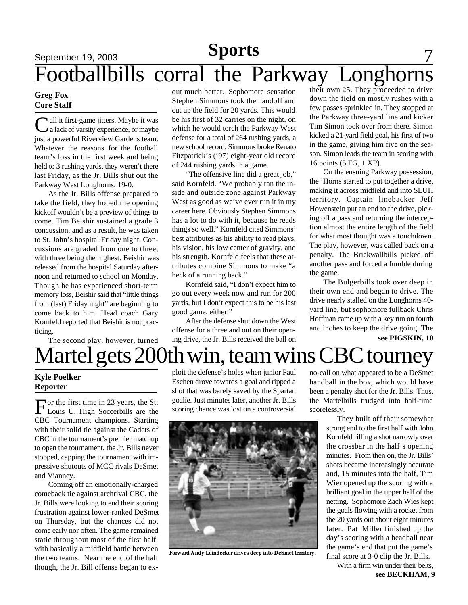## September 19, 2003 **News** 7 Footballbills corral the Parkway Longhorns **Sports**

### **Greg Fox Core Staff**

Call it first-game jitters. Maybe it was<br>
a lack of varsity experience, or maybe all it first-game jitters. Maybe it was just a powerful Riverview Gardens team. Whatever the reasons for the football team's loss in the first week and being held to 3 rushing yards, they weren't there last Friday, as the Jr. Bills shut out the Parkway West Longhorns, 19-0.

As the Jr. Bills offense prepared to take the field, they hoped the opening kickoff wouldn't be a preview of things to come. Tim Beishir sustained a grade 3 concussion, and as a result, he was taken to St. John's hospital Friday night. Concussions are graded from one to three, with three being the highest. Beishir was released from the hospital Saturday afternoon and returned to school on Monday. Though he has experienced short-term memory loss, Beishir said that "little things from (last) Friday night" are beginning to come back to him. Head coach Gary Kornfeld reported that Beishir is not practicing.

The second play, however, turned

out much better. Sophomore sensation Stephen Simmons took the handoff and cut up the field for 20 yards. This would be his first of 32 carries on the night, on which he would torch the Parkway West defense for a total of 264 rushing yards, a new school record. Simmons broke Renato Fitzpatrick's ('97) eight-year old record of 244 rushing yards in a game.

"The offensive line did a great job," said Kornfeld. "We probably ran the inside and outside zone against Parkway West as good as we've ever run it in my career here. Obviously Stephen Simmons has a lot to do with it, because he reads things so well." Kornfeld cited Simmons' best attributes as his ability to read plays, his vision, his low center of gravity, and his strength. Kornfeld feels that these attributes combine Simmons to make "a heck of a running back."

Kornfeld said, "I don't expect him to go out every week now and run for 200 yards, but I don't expect this to be his last good game, either."

After the defense shut down the West offense for a three and out on their opening drive, the Jr. Bills received the ball on

their own 25. They proceeded to drive down the field on mostly rushes with a few passes sprinkled in. They stopped at the Parkway three-yard line and kicker Tim Simon took over from there. Simon kicked a 21-yard field goal, his first of two in the game, giving him five on the season. Simon leads the team in scoring with 16 points (5 FG, 1 XP).

On the ensuing Parkway possession, the 'Horns started to put together a drive, making it across midfield and into SLUH territory. Captain linebacker Jeff Howenstein put an end to the drive, picking off a pass and returning the interception almost the entire length of the field for what most thought was a touchdown. The play, however, was called back on a penalty. The Brickwallbills picked off another pass and forced a fumble during the game.

The Bulgerbills took over deep in their own end and began to drive. The drive nearly stalled on the Longhorns 40 yard line, but sophomore fullback Chris Hoffman came up with a key run on fourth and inches to keep the drive going. The **see PIGSKIN, 10**

Martel gets 200th win, team wins CBC tourney

### **Kyle Poelker Reporter**

For the first time in 23 years, the St.<br>Louis U. High Soccerbills are the Tor the first time in 23 years, the St. CBC Tournament champions. Starting with their solid tie against the Cadets of CBC in the tournament's premier matchup to open the tournament, the Jr. Bills never stopped, capping the tournament with impressive shutouts of MCC rivals DeSmet and Vianney.

Coming off an emotionally-charged comeback tie against archrival CBC, the Jr. Bills were looking to end their scoring frustration against lower-ranked DeSmet on Thursday, but the chances did not come early nor often. The game remained static throughout most of the first half, with basically a midfield battle between the two teams. Near the end of the half though, the Jr. Bill offense began to exploit the defense's holes when junior Paul Eschen drove towards a goal and ripped a shot that was barely saved by the Spartan goalie. Just minutes later, another Jr. Bills scoring chance was lost on a controversial



**Forward Andy Leindecker drives deep into DeSmet territory.**

no-call on what appeared to be a DeSmet handball in the box, which would have been a penalty shot for the Jr. Bills. Thus, the Martelbills trudged into half-time scorelessly.

> They built off their somewhat strong end to the first half with John Kornfeld rifling a shot narrowly over the crossbar in the half's opening minutes. From then on, the Jr. Bills' shots became increasingly accurate and, 15 minutes into the half, Tim Wier opened up the scoring with a brilliant goal in the upper half of the netting. Sophomore Zach Wies kept the goals flowing with a rocket from the 20 yards out about eight minutes later. Pat Miller finished up the day's scoring with a headball near the game's end that put the game's final score at 3-0 clip the Jr. Bills.

With a firm win under their belts,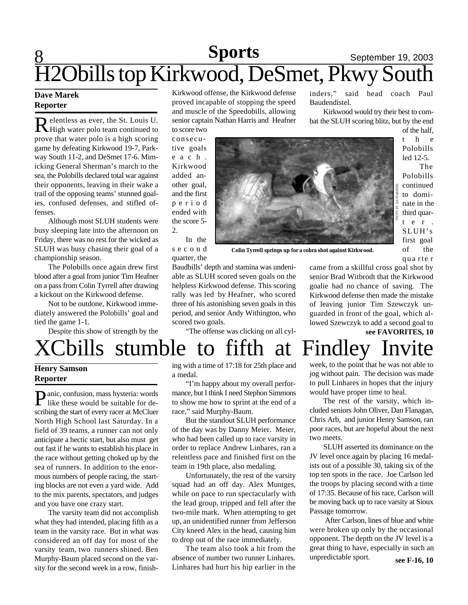# $8 \overline{\smash{\big)}\ 8 \overline{\smash{\big)}\ 2 \cdot 2 \cdot 2 \cdot 4 \cdot 4 \cdot 4 \cdot 4 \cdot 4 \cdot 4 \cdot 4 \cdot 4 \cdot 4}}$  September 19, 2003 H2Obills top Kirkwood, DeSmet, Pkwy South

### **Dave Marek Reporter**

Relentless as ever, the St. Louis U.<br>Rhigh water polo team continued to elentless as ever, the St. Louis U. prove that water polo is a high scoring game by defeating Kirkwood 19-7, Parkway South 11-2, and DeSmet 17-6. Mimicking General Sherman's march to the sea, the Polobills declared total war against their opponents, leaving in their wake a trail of the opposing teams' stunned goalies, confused defenses, and stifled offenses.

Although most SLUH students were busy sleeping late into the afternoon on Friday, there was no rest for the wicked as SLUH was busy chasing their goal of a championship season.

The Polobills once again drew first blood after a goal from junior Tim Heafner on a pass from Colin Tyrrell after drawing a kickout on the Kirkwood defense.

Not to be outdone, Kirkwood immediately answered the Polobills' goal and tied the game 1-1.

Despite this show of strength by the

Kirkwood offense, the Kirkwood defense proved incapable of stopping the speed and muscle of the Speedobills, allowing senior captain Nathan Harris and Heafner

to score two consecutive goals e a c h . Kirkwood added another goal, and the first p e r i o d ended with the score 5- 2.

In the s e c o n d quarter, the

**Colin Tyrrell springs up for a cobra shot against Kirkwood.**

inders," said head coach Paul Baudendistel.

Kirkwood would try their best to combat the SLUH scoring blitz, but by the end of the half,

t h e Polobills led 12-5.

The Polobills continued to dominate in the third quart e r . SLUH's first goal of the qua rte r

Baudbills' depth and stamina was undeni-

scored two goals.



came from a skillful cross goal shot by senior Brad Witbrodt that the Kirkwood goalie had no chance of saving. The Kirkwood defense then made the mistake of leaving junior Tim Szewczyk unguarded in front of the goal, which allowed Szewczyk to add a second goal to **see FAVORITES, 10**

# XCbills stumble to fifth at Findley Invite

### **Henry Samson Reporter**

**P**anic, confusion, mass hysteria: words<br>like these would be suitable for delike these would be suitable for describing the start of every racer at McCluer North High School last Saturday. In a field of 39 teams, a runner can not only anticipate a hectic start, but also must get out fast if he wants to establish his place in the race without getting choked up by the sea of runners. In addition to the enormous numbers of people racing, the starting blocks are not even a yard wide. Add to the mix parents, spectators, and judges and you have one crazy start.

The varsity team did not accomplish what they had intended, placing fifth as a team in the varsity race. But in what was considered an off day for most of the varsity team, two runners shined. Ben Murphy-Baum placed second on the varsity for the second week in a row, finishing with a time of 17:18 for 25th place and a medal.

"The offense was clicking on all cyl-

able as SLUH scored seven goals on the helpless Kirkwood defense. This scoring rally was led by Heafner, who scored three of his astonishing seven goals in this period, and senior Andy Withington, who

"I'm happy about my overall performance, but I think I need Stephon Simmons to show me how to sprint at the end of a race," said Murphy-Baum.

But the standout SLUH performance of the day was by Danny Meier. Meier, who had been called up to race varsity in order to replace Andrew Linhares, ran a relentless pace and finished first on the team in 19th place, also medaling.

Unfortunately, the rest of the varsity squad had an off day. Alex Muntges, while on pace to run spectacularly with the lead group, tripped and fell after the two-mile mark. When attempting to get up, an unidentified runner from Jefferson City kneed Alex in the head, causing him to drop out of the race immediately.

The team also took a hit from the absence of number two runner Linhares. Linhares had hurt his hip earlier in the

week, to the point that he was not able to jog without pain. The decision was made to pull Linhares in hopes that the injury would have proper time to heal.

The rest of the varsity, which included seniors John Oliver, Dan Flanagan, Chris Arb, and junior Henry Samson, ran poor races, but are hopeful about the next two meets.

SLUH asserted its dominance on the JV level once again by placing 16 medalists out of a possible 30, taking six of the top ten spots in the race. Joe Carlson led the troops by placing second with a time of 17:35. Because of his race, Carlson will be moving back up to race varsity at Sioux Passage tomorrow.

 After Carlson, lines of blue and white were broken up only by the occasional opponent. The depth on the JV level is a great thing to have, especially in such an unpredictable sport. **see F-16, 10**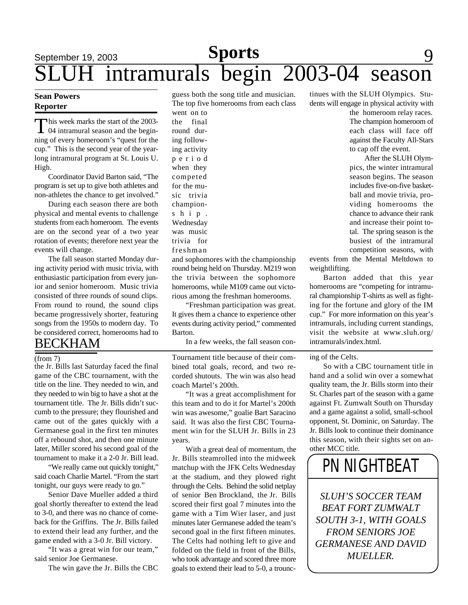# **Sports** 9 9 9 9 9 9 9 9 9 9 1 1 2 2 2 3 9 9 1 2 3 4 3 4 3 4 4  $\sigma$ intramurals begin 2003-04 season

### **Sean Powers Reporter**

This week marks the start of the 2003-<br>04 intramural season and the beginhis week marks the start of the 2003 ning of every homeroom's "quest for the cup." This is the second year of the yearlong intramural program at St. Louis U. High.

Coordinator David Barton said, "The program is set up to give both athletes and non-athletes the chance to get involved."

During each season there are both physical and mental events to challenge students from each homeroom. The events are on the second year of a two year rotation of events; therefore next year the events will change.

The fall season started Monday during activity period with music trivia, with enthusiastic participation from every junior and senior homeroom. Music trivia consisted of three rounds of sound clips. From round to round, the sound clips became progressively shorter, featuring songs from the 1950s to modern day. To be considered correct, homerooms had to

### BECKHAM

#### (from 7)

the Jr. Bills last Saturday faced the final game of the CBC tournament, with the title on the line. They needed to win, and they needed to win big to have a shot at the tournament title. The Jr. Bills didn't succumb to the pressure; they flourished and came out of the gates quickly with a Germanese goal in the first ten minutes off a rebound shot, and then one minute later, Miller scored his second goal of the tournament to make it a 2-0 Jr. Bill lead.

"We really came out quickly tonight," said coach Charlie Martel. "From the start tonight, our guys were ready to go."

Senior Dave Mueller added a third goal shortly thereafter to extend the lead to 3-0, and there was no chance of comeback for the Griffins. The Jr. Bills failed to extend their lead any further, and the game ended with a 3-0 Jr. Bill victory.

"It was a great win for our team," said senior Joe Germanese.

The win gave the Jr. Bills the CBC

guess both the song title and musician. The top five homerooms from each class

went on to the final round during following activity p e r i o d when they competed for the music trivia championship. Wednesday was music trivia for freshman

and sophomores with the championship round being held on Thursday. M219 won the trivia between the sophomore homerooms, while M109 came out victorious among the freshman homerooms.

"Freshman participation was great. It gives them a chance to experience other events during activity period," commented Barton.

In a few weeks, the fall season con-

Tournament title because of their combined total goals, record, and two recorded shutouts. The win was also head coach Martel's 200th.

"It was a great accomplishment for this team and to do it for Martel's 200th win was awesome," goalie Bart Saracino said. It was also the first CBC Tournament win for the SLUH Jr. Bills in 23 years.

With a great deal of momentum, the Jr. Bills steamrolled into the midweek matchup with the JFK Celts Wednesday at the stadium, and they plowed right through the Celts. Behind the solid netplay of senior Ben Brockland, the Jr. Bills scored their first goal 7 minutes into the game with a Tim Wier laser, and just minutes later Germanese added the team's second goal in the first fifteen minutes. The Celts had nothing left to give and folded on the field in front of the Bills, who took advantage and scored three more goals to extend their lead to 5-0, a trounc-

tinues with the SLUH Olympics. Students will engage in physical activity with

> the homeroom relay races. The champion homeroom of each class will face off against the Faculty All-Stars to cap off the event.

> After the SLUH Olympics, the winter intramural season begins. The season includes five-on-five basketball and movie trivia, providing homerooms the chance to advance their rank and increase their point total. The spring season is the busiest of the intramural competition seasons, with

events from the Mental Meltdown to weightlifting.

Barton added that this year homerooms are "competing for intramural championship T-shirts as well as fighting for the fortune and glory of the IM cup." For more information on this year's intramurals, including current standings, visit the website at www.sluh.org/ intramurals/index.html.

ing of the Celts.

So with a CBC tournament title in hand and a solid win over a somewhat quality team, the Jr. Bills storm into their St. Charles part of the season with a game against Ft. Zumwalt South on Thursday and a game against a solid, small-school opponent, St. Dominic, on Saturday. The Jr. Bills look to continue their dominance this season, with their sights set on another MCC title.

# *PN* NIGHTBEAT

*SLUH'S SOCCER TEAM BEAT FORT ZUMWALT SOUTH 3-1, WITH GOALS FROM SENIORS JOE GERMANESE AND DAVID MUELLER.*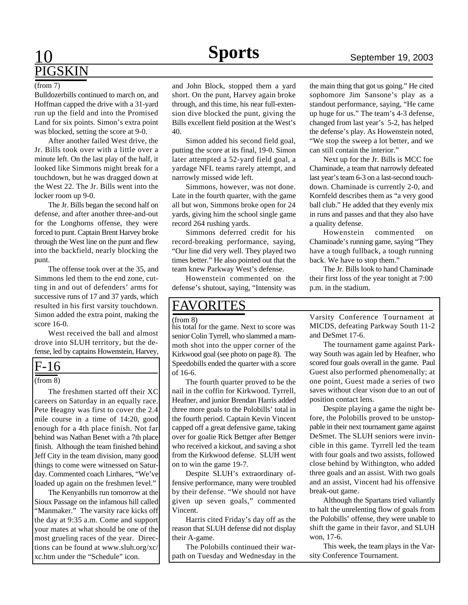## 10 **Sports** September 19, 2003 PIGSKIN

#### (from 7)

Bulldozerbills continued to march on, and Hoffman capped the drive with a 31-yard run up the field and into the Promised Land for six points. Simon's extra point was blocked, setting the score at 9-0.

After another failed West drive, the Jr. Bills took over with a little over a minute left. On the last play of the half, it looked like Simmons might break for a touchdown, but he was dragged down at the West 22. The Jr. Bills went into the locker room up 9-0.

The Jr. Bills began the second half on defense, and after another three-and-out for the Longhorns offense, they were forced to punt. Captain Brent Harvey broke through the West line on the punt and flew into the backfield, nearly blocking the punt.

The offense took over at the 35, and Simmons led them to the end zone, cutting in and out of defenders' arms for successive runs of 17 and 37 yards, which resulted in his first varsity touchdown. Simon added the extra point, making the score 16-0.

West received the ball and almost drove into SLUH territory, but the defense, led by captains Howenstein, Harvey,

### F-16

#### (from 8)

The freshmen started off their XC careers on Saturday in an equally race. Pete Heagny was first to cover the 2.4 mile course in a time of 14:20, good enough for a 4th place finish. Not far behind was Nathan Benet with a 7th place finish. Although the team finished behind Jeff City in the team division, many good things to come were witnessed on Saturday. Commented coach Linhares, "We've loaded up again on the freshmen level."

The Kenyanbills run tomorrow at the Sioux Passage on the infamous hill called "Manmaker." The varsity race kicks off the day at 9:35 a.m. Come and support your mates at what should be one of the most grueling races of the year. Directions can be found at www.sluh.org/xc/ xc.htm under the "Schedule" icon.

and John Block, stopped them a yard short. On the punt, Harvey again broke through, and this time, his near full-extension dive blocked the punt, giving the Bills excellent field position at the West's 40.

Simon added his second field goal, putting the score at its final, 19-0. Simon later attempted a 52-yard field goal, a yardage NFL teams rarely attempt, and narrowly missed wide left.

Simmons, however, was not done. Late in the fourth quarter, with the game all but won, Simmons broke open for 24 yards, giving him the school single game record 264 rushing yards.

Simmons deferred credit for his record-breaking performance, saying, "Our line did very well. They played two times better." He also pointed out that the team knew Parkway West's defense.

Howenstein commented on the defense's shutout, saying, "Intensity was

### FAVORITES

(from 8)

his total for the game. Next to score was senior Colin Tyrrell, who slammed a mammoth shot into the upper corner of the Kirkwood goal (see photo on page 8). The Speedobills ended the quarter with a score of 16-6.

The fourth quarter proved to be the nail in the coffin for Kirkwood. Tyrrell, Heafner, and junior Brendan Harris added three more goals to the Polobills' total in the fourth period. Captain Kevin Vincent capped off a great defensive game, taking over for goalie Rick Bettger after Bettger who received a kickout, and saving a shot from the Kirkwood defense. SLUH went on to win the game 19-7.

Despite SLUH's extraordinary offensive performance, many were troubled by their defense. "We should not have given up seven goals," commented Vincent.

Harris cited Friday's day off as the reason that SLUH defense did not display their A-game.

The Polobills continued their warpath on Tuesday and Wednesday in the

the main thing that got us going." He cited sophomore Jim Sansone's play as a standout performance, saying, "He came up huge for us." The team's 4-3 defense, changed from last year's 5-2, has helped the defense's play. As Howenstein noted, "We stop the sweep a lot better, and we can still contain the interior."

Next up for the Jr. Bills is MCC foe Chaminade, a team that narrowly defeated last year's team 6-3 on a last-second touchdown. Chaminade is currently 2-0, and Kornfeld describes them as "a very good ball club." He added that they evenly mix in runs and passes and that they also have a quality defense.

Howenstein commented on Chaminade's running game, saying "They have a tough fullback, a tough running back. We have to stop them."

The Jr. Bills look to hand Chaminade their first loss of the year tonight at 7:00 p.m. in the stadium.

Varsity Conference Tournament at MICDS, defeating Parkway South 11-2 and DeSmet 17-6.

The tournament game against Parkway South was again led by Heafner, who scored four goals overall in the game. Paul Guest also performed phenomenally; at one point, Guest made a series of two saves without clear vison due to an out of position contact lens.

Despite playing a game the night before, the Polobills proved to be unstoppable in their next tournament game against DeSmet. The SLUH seniors were invincible in this game. Tyrrell led the team with four goals and two assists, followed close behind by Withington, who added three goals and an assist. With two goals and an assist, Vincent had his offensive break-out game.

Although the Spartans tried valiantly to halt the unrelenting flow of goals from the Polobills' offense, they were unable to shift the game in their favor, and SLUH won, 17-6.

This week, the team plays in the Varsity Conference Tournament.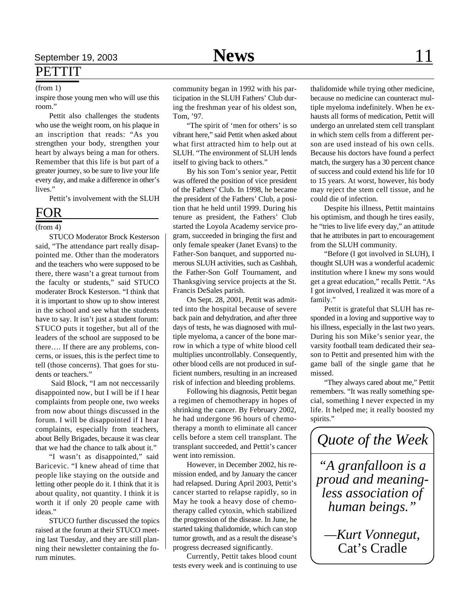PETTIT

inspire those young men who will use this room."

Pettit also challenges the students who use the weight room, on his plaque in an inscription that reads: "As you strengthen your body, strengthen your heart by always being a man for others. Remember that this life is but part of a greater journey, so be sure to live your life every day, and make a difference in other's lives."

Pettit's involvement with the SLUH

### FOR

### (from 4)

STUCO Moderator Brock Kesterson said, "The attendance part really disappointed me. Other than the moderators and the teachers who were supposed to be there, there wasn't a great turnout from the faculty or students," said STUCO moderater Brock Kesterson. "I think that it is important to show up to show interest in the school and see what the students have to say. It isn't just a student forum: STUCO puts it together, but all of the leaders of the school are supposed to be there…. If there are any problems, concerns, or issues, this is the perfect time to tell (those concerns). That goes for students or teachers."

 Said Block, "I am not neccessarily disappointed now, but I will be if I hear complaints from people one, two weeks from now about things discussed in the forum. I will be disappointed if I hear complaints, especially from teachers, about Belly Brigades, because it was clear that we had the chance to talk about it."

"I wasn't as disappointed," said Baricevic. "I knew ahead of time that people like staying on the outside and letting other people do it. I think that it is about quality, not quantity. I think it is worth it if only 20 people came with ideas."

STUCO further discussed the topics raised at the forum at their STUCO meeting last Tuesday, and they are still planning their newsletter containing the forum minutes.

(from 1) community began in 1992 with his participation in the SLUH Fathers' Club during the freshman year of his oldest son, Tom, '97.

> "The spirit of 'men for others' is so vibrant here," said Pettit when asked about what first attracted him to help out at SLUH. "The environment of SLUH lends itself to giving back to others."

> By his son Tom's senior year, Pettit was offered the position of vice president of the Fathers' Club. In 1998, he became the president of the Fathers' Club, a position that he held until 1999. During his tenure as president, the Fathers' Club started the Loyola Academy service program, succeeded in bringing the first and only female speaker (Janet Evans) to the Father-Son banquet, and supported numerous SLUH activities, such as Cashbah, the Father-Son Golf Tournament, and Thanksgiving service projects at the St. Francis DeSales parish.

> On Sept. 28, 2001, Pettit was admitted into the hospital because of severe back pain and dehydration, and after three days of tests, he was diagnosed with multiple myeloma, a cancer of the bone marrow in which a type of white blood cell multiplies uncontrollably. Consequently, other blood cells are not produced in sufficient numbers, resulting in an increased risk of infection and bleeding problems.

> Following his diagnosis, Pettit began a regimen of chemotherapy in hopes of shrinking the cancer. By February 2002, he had undergone 96 hours of chemotherapy a month to eliminate all cancer cells before a stem cell transplant. The transplant succeeded, and Pettit's cancer went into remission.

> However, in December 2002, his remission ended, and by January the cancer had relapsed. During April 2003, Pettit's cancer started to relapse rapidly, so in May he took a heavy dose of chemotherapy called cytoxin, which stabilized the progression of the disease. In June, he started taking thalidomide, which can stop tumor growth, and as a result the disease's progress decreased significantly.

> Currently, Pettit takes blood count tests every week and is continuing to use

thalidomide while trying other medicine, because no medicine can counteract multiple myeloma indefinitely. When he exhausts all forms of medication, Pettit will undergo an unrelated stem cell transplant in which stem cells from a different person are used instead of his own cells. Because his doctors have found a perfect match, the surgery has a 30 percent chance of success and could extend his life for 10 to 15 years. At worst, however, his body may reject the stem cell tissue, and he could die of infection.

Despite his illness, Pettit maintains his optimism, and though he tires easily, he "tries to live life every day," an attitude that he attributes in part to encouragement from the SLUH community.

"Before (I got involved in SLUH), I thought SLUH was a wonderful academic institution where I knew my sons would get a great education," recalls Pettit. "As I got involved, I realized it was more of a family."

Pettit is grateful that SLUH has responded in a loving and supportive way to his illness, especially in the last two years. During his son Mike's senior year, the varsity football team dedicated their season to Pettit and presented him with the game ball of the single game that he missed.

"They always cared about me," Pettit remembers. "It was really something special, something I never expected in my life. It helped me; it really boosted my spirits."

*"A granfalloon is a proud and meaningless association of human beings." Quote of the Week*

*—Kurt Vonnegut,* Cat's Cradle